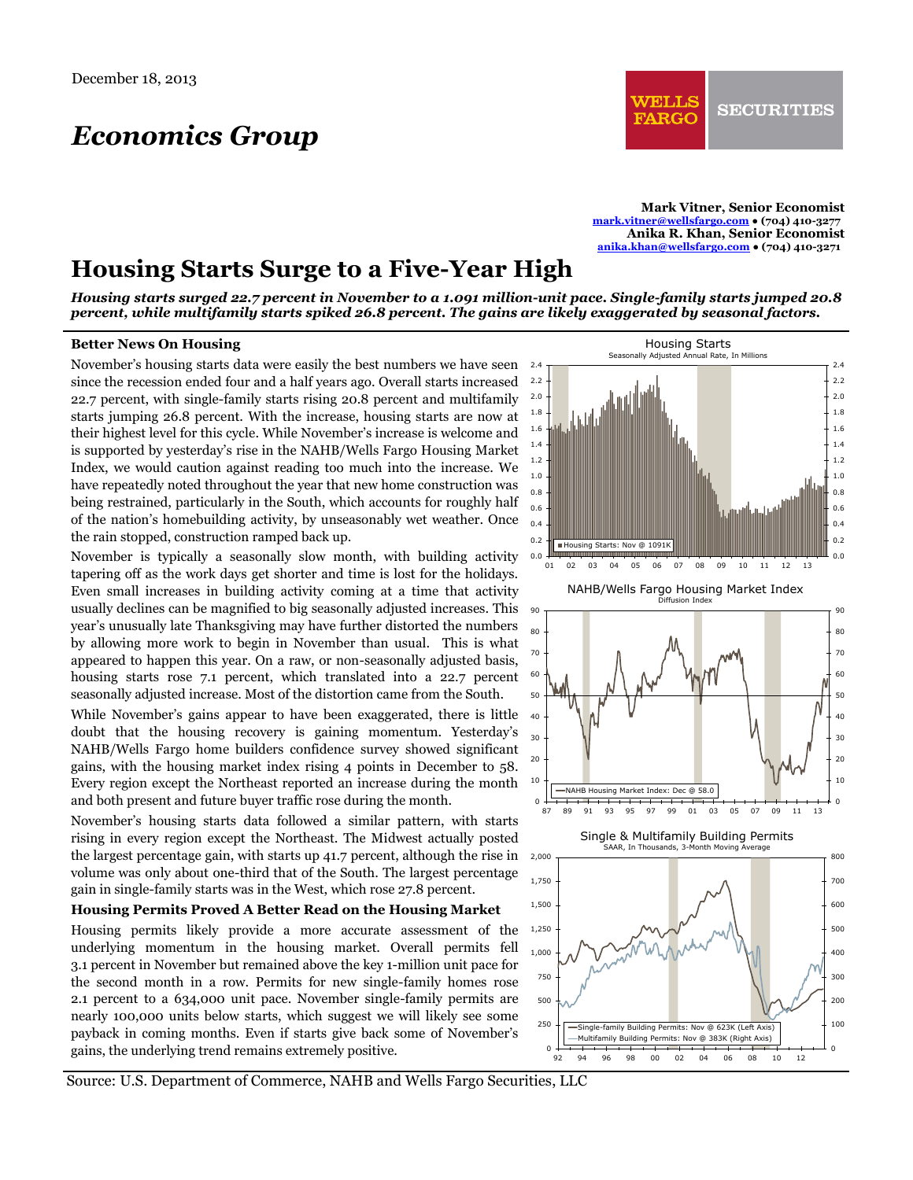# *Economics Group*

**Mark Vitner, Senior Economist [mark.vitner@wellsfargo.com](mailto:mark.vitner@wellsfargo.com) ● (704) 410-3277 Anika R. Khan, Senior Economist [anika.khan@wellsfargo.com](mailto:anika.khan@wellsfargo.com) ● (704) 410-3271**

# **Housing Starts Surge to a Five-Year High**

*Housing starts surged 22.7 percent in November to a 1.091 million-unit pace. Single-family starts jumped 20.8 percent, while multifamily starts spiked 26.8 percent. The gains are likely exaggerated by seasonal factors.* 

#### **Better News On Housing**

November's housing starts data were easily the best numbers we have seen  $2.4$  T since the recession ended four and a half years ago. Overall starts increased 22.7 percent, with single-family starts rising 20.8 percent and multifamily starts jumping 26.8 percent. With the increase, housing starts are now at their highest level for this cycle. While November's increase is welcome and is supported by yesterday's rise in the NAHB/Wells Fargo Housing Market Index, we would caution against reading too much into the increase. We have repeatedly noted throughout the year that new home construction was being restrained, particularly in the South, which accounts for roughly half of the nation's homebuilding activity, by unseasonably wet weather. Once the rain stopped, construction ramped back up.

November is typically a seasonally slow month, with building activity tapering off as the work days get shorter and time is lost for the holidays. Even small increases in building activity coming at a time that activity usually declines can be magnified to big seasonally adjusted increases. This year's unusually late Thanksgiving may have further distorted the numbers by allowing more work to begin in November than usual. This is what appeared to happen this year. On a raw, or non-seasonally adjusted basis, housing starts rose 7.1 percent, which translated into a 22.7 percent seasonally adjusted increase. Most of the distortion came from the South.

While November's gains appear to have been exaggerated, there is little doubt that the housing recovery is gaining momentum. Yesterday's NAHB/Wells Fargo home builders confidence survey showed significant gains, with the housing market index rising 4 points in December to 58. Every region except the Northeast reported an increase during the month and both present and future buyer traffic rose during the month.

November's housing starts data followed a similar pattern, with starts rising in every region except the Northeast. The Midwest actually posted the largest percentage gain, with starts up 41.7 percent, although the rise in volume was only about one-third that of the South. The largest percentage gain in single-family starts was in the West, which rose 27.8 percent.

#### **Housing Permits Proved A Better Read on the Housing Market**

Housing permits likely provide a more accurate assessment of the underlying momentum in the housing market. Overall permits fell 3.1 percent in November but remained above the key 1-million unit pace for the second month in a row. Permits for new single-family homes rose 2.1 percent to a 634,000 unit pace. November single-family permits are nearly 100,000 units below starts, which suggest we will likely see some payback in coming months. Even if starts give back some of November's gains, the underlying trend remains extremely positive.



Source: U.S. Department of Commerce, NAHB and Wells Fargo Securities, LLC